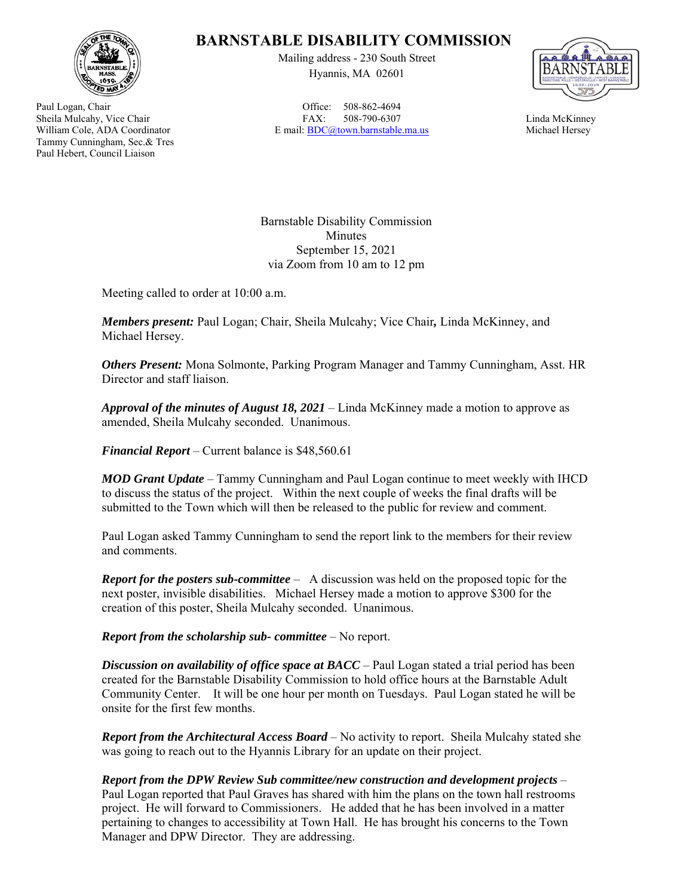

Paul Logan, Chair Sheila Mulcahy, Vice Chair William Cole, ADA Coordinator Tammy Cunningham, Sec.& Tres Paul Hebert, Council Liaison

## **BARNSTABLE DISABILITY COMMISSION**

Mailing address - 230 South Street Hyannis, MA 02601

Office: 508-862-4694 FAX: 508-790-6307 E mail: BDC@town.barnstable.ma.us



Linda McKinney Michael Hersey

Barnstable Disability Commission Minutes September 15, 2021 via Zoom from 10 am to 12 pm

Meeting called to order at 10:00 a.m.

*Members present:* Paul Logan; Chair, Sheila Mulcahy; Vice Chair*,* Linda McKinney, and Michael Hersey.

*Others Present:* Mona Solmonte, Parking Program Manager and Tammy Cunningham, Asst. HR Director and staff liaison.

*Approval of the minutes of August 18, 2021* – Linda McKinney made a motion to approve as amended, Sheila Mulcahy seconded. Unanimous.

*Financial Report* – Current balance is \$48,560.61

*MOD Grant Update* – Tammy Cunningham and Paul Logan continue to meet weekly with IHCD to discuss the status of the project. Within the next couple of weeks the final drafts will be submitted to the Town which will then be released to the public for review and comment.

Paul Logan asked Tammy Cunningham to send the report link to the members for their review and comments.

*Report for the posters sub-committee* – A discussion was held on the proposed topic for the next poster, invisible disabilities. Michael Hersey made a motion to approve \$300 for the creation of this poster, Sheila Mulcahy seconded. Unanimous.

*Report from the scholarship sub- committee* – No report.

*Discussion on availability of office space at BACC* – Paul Logan stated a trial period has been created for the Barnstable Disability Commission to hold office hours at the Barnstable Adult Community Center. It will be one hour per month on Tuesdays. Paul Logan stated he will be onsite for the first few months.

*Report from the Architectural Access Board* – No activity to report. Sheila Mulcahy stated she was going to reach out to the Hyannis Library for an update on their project.

*Report from the DPW Review Sub committee/new construction and development projects* – Paul Logan reported that Paul Graves has shared with him the plans on the town hall restrooms project. He will forward to Commissioners. He added that he has been involved in a matter pertaining to changes to accessibility at Town Hall. He has brought his concerns to the Town Manager and DPW Director. They are addressing.